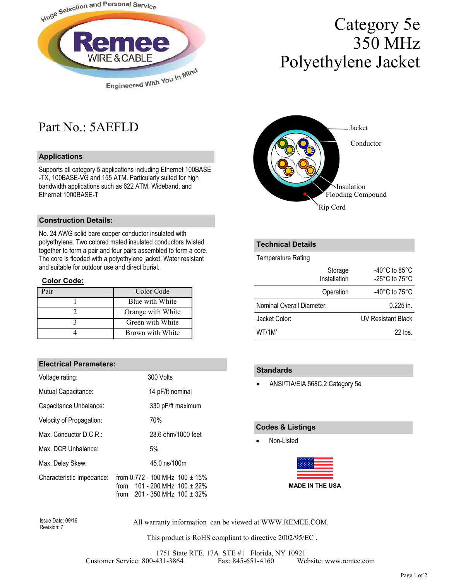

# Category 5e 350 MHz Polyethylene Jacket

## Part No.: 5AEFLD

#### **Applications**

Supports all category 5 applications including Ethernet 100BASE -TX, 100BASE-VG and 155 ATM. Particularly suited for high bandwidth applications such as 622 ATM, Wideband, and Ethernet 1000BASE-T

### **Construction Details:**

No. 24 AWG solid bare copper conductor insulated with polyethylene. Two colored mated insulated conductors twisted together to form a pair and four pairs assembled to form a core. The core is flooded with a polyethylene jacket. Water resistant and suitable for outdoor use and direct burial.

#### **Color Code:**

| air | Color Code        |
|-----|-------------------|
|     | Blue with White   |
|     | Orange with White |
|     | Green with White  |
|     | Brown with White  |

#### **Electrical Parameters:**

| Voltage rating:           | 300 Volts                                                                                                        |  |  |  |  |  |  |
|---------------------------|------------------------------------------------------------------------------------------------------------------|--|--|--|--|--|--|
| Mutual Capacitance:       | 14 pF/ft nominal                                                                                                 |  |  |  |  |  |  |
| Capacitance Unbalance:    | 330 pF/ft maximum                                                                                                |  |  |  |  |  |  |
| Velocity of Propagation:  | 70%                                                                                                              |  |  |  |  |  |  |
| Max. Conductor D.C.R.:    | 28.6 ohm/1000 feet                                                                                               |  |  |  |  |  |  |
| Max. DCR Unbalance:       | 5%                                                                                                               |  |  |  |  |  |  |
| Max. Delay Skew:          | 45.0 ns/100m                                                                                                     |  |  |  |  |  |  |
| Characteristic Impedance: | from 0.772 - 100 MHz $100 \pm 15\%$<br>from $101 - 200$ MHz $100 + 22\%$<br>201 - 350 MHz $100 \pm 32\%$<br>from |  |  |  |  |  |  |



### **Technical Details**

Temperature Rating

| Storage<br>Installation   | -40 $^{\circ}$ C to 85 $^{\circ}$ C<br>-25 $^{\circ}$ C to 75 $^{\circ}$ C |
|---------------------------|----------------------------------------------------------------------------|
| Operation                 | -40 $^{\circ}$ C to 75 $^{\circ}$ C                                        |
| Nominal Overall Diameter: | $0.225$ in.                                                                |
| Jacket Color:             | <b>UV Resistant Black</b>                                                  |
| WT/1M'                    | $22$ lbs                                                                   |

#### **Standards**

• ANSI/TIA/EIA 568C.2 Category 5e

#### **Codes & Listings**

• Non-Listed

|  |  |  | ΙE |  |  | V I |  | IE. |  | US. |
|--|--|--|----|--|--|-----|--|-----|--|-----|
|  |  |  |    |  |  |     |  |     |  |     |
|  |  |  |    |  |  |     |  |     |  |     |
|  |  |  |    |  |  |     |  |     |  |     |

Revision: 7

All warranty information can be viewed at WWW.REMEE.COM. Issue Date: 09/16

This product is RoHS compliant to directive 2002/95/EC .